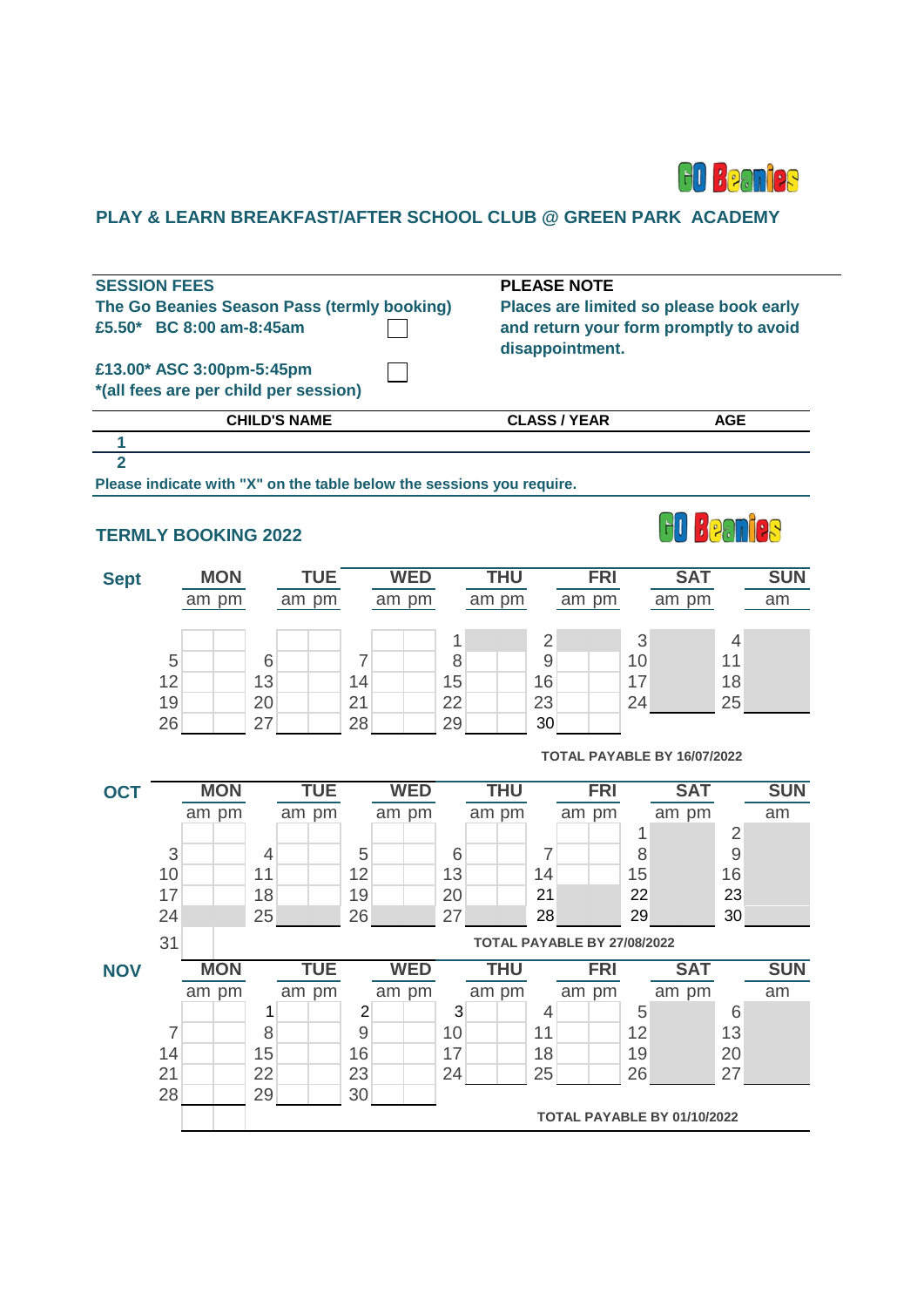

# **PLAY & LEARN BREAKFAST/AFTER SCHOOL CLUB @ GREEN PARK ACADEMY**

|                                                                    | <b>SESSION FEES</b><br>The Go Beanies Season Pass (termly booking)<br>£5.50* BC 8:00 am-8:45am |                     |                                           |                          | <b>PLEASE NOTE</b><br>Places are limited so please book early<br>and return your form promptly to avoid<br>disappointment. |                                                    |                      |  |  |  |  |  |  |
|--------------------------------------------------------------------|------------------------------------------------------------------------------------------------|---------------------|-------------------------------------------|--------------------------|----------------------------------------------------------------------------------------------------------------------------|----------------------------------------------------|----------------------|--|--|--|--|--|--|
| £13.00* ASC 3:00pm-5:45pm<br>*(all fees are per child per session) |                                                                                                |                     |                                           |                          |                                                                                                                            |                                                    |                      |  |  |  |  |  |  |
|                                                                    |                                                                                                | <b>CHILD'S NAME</b> |                                           |                          | <b>CLASS / YEAR</b>                                                                                                        |                                                    | <b>AGE</b>           |  |  |  |  |  |  |
| 1                                                                  |                                                                                                |                     |                                           |                          |                                                                                                                            |                                                    |                      |  |  |  |  |  |  |
|                                                                    | $\overline{2}$<br>Please indicate with "X" on the table below the sessions you require.        |                     |                                           |                          |                                                                                                                            |                                                    |                      |  |  |  |  |  |  |
| HU KPAM <mark>P</mark> R<br><b>TERMLY BOOKING 2022</b>             |                                                                                                |                     |                                           |                          |                                                                                                                            |                                                    |                      |  |  |  |  |  |  |
| <b>Sept</b>                                                        | <b>MON</b>                                                                                     | <b>TUE</b>          | <b>WED</b>                                | <b>THU</b>               | <b>FRI</b>                                                                                                                 | <b>SAT</b>                                         | <b>SUN</b>           |  |  |  |  |  |  |
|                                                                    | am pm                                                                                          | am pm               | am pm                                     | am pm                    | am pm                                                                                                                      | am pm                                              | am                   |  |  |  |  |  |  |
|                                                                    | 5<br>12<br>19<br>26                                                                            | 6<br>13<br>20<br>27 | 7<br>14<br>21<br>28                       | 1<br>8<br>15<br>22<br>29 | $\overline{2}$<br>9<br>16<br>23<br>30                                                                                      | 3<br>10<br>17<br>24<br>TOTAL PAYABLE BY 16/07/2022 | 4<br>11<br>18<br>25  |  |  |  |  |  |  |
| <b>OCT</b>                                                         | <b>MON</b>                                                                                     | <b>TUE</b>          | <b>WED</b>                                | <b>THU</b>               | <b>FRI</b>                                                                                                                 | <b>SAT</b>                                         | <b>SUN</b>           |  |  |  |  |  |  |
|                                                                    | am pm                                                                                          | am pm               | am pm                                     | am pm                    | am pm                                                                                                                      | am pm                                              | am                   |  |  |  |  |  |  |
|                                                                    |                                                                                                |                     |                                           |                          |                                                                                                                            | 1                                                  | $\overline{2}$       |  |  |  |  |  |  |
|                                                                    | 3<br>10                                                                                        | 4<br>11             | 5<br>12                                   | 6<br>13                  | 7<br>14                                                                                                                    | 8<br>15                                            | $\overline{9}$<br>16 |  |  |  |  |  |  |
|                                                                    | 17                                                                                             | 18                  | 19                                        | 20                       | 21                                                                                                                         | 22                                                 | 23                   |  |  |  |  |  |  |
|                                                                    | 24                                                                                             | 25                  | 26                                        | 27                       | 28                                                                                                                         | 29                                                 | 30                   |  |  |  |  |  |  |
|                                                                    | 31                                                                                             |                     |                                           |                          | TOTAL PAYABLE BY 27/08/2022                                                                                                |                                                    |                      |  |  |  |  |  |  |
| <b>NOV</b>                                                         | <b>MON</b>                                                                                     | TUE                 | <b>WED</b>                                | THU                      | <b>FRI</b>                                                                                                                 | <b>SAT</b>                                         | <b>SUN</b>           |  |  |  |  |  |  |
|                                                                    | am pm                                                                                          | am pm               | am pm                                     | am pm                    | am pm                                                                                                                      | am pm                                              | am                   |  |  |  |  |  |  |
|                                                                    | $\overline{7}$                                                                                 | 1<br>8              | $\overline{\mathbf{c}}$<br>$\overline{9}$ | 3<br>10                  | 4<br>11                                                                                                                    | 5<br>12                                            | 6<br>13              |  |  |  |  |  |  |
|                                                                    | 14                                                                                             | 15                  | 16                                        | 17                       | 18                                                                                                                         | 19                                                 | 20                   |  |  |  |  |  |  |
|                                                                    | 21                                                                                             | 22                  | 23                                        | 24                       | 25                                                                                                                         | 26                                                 | 27                   |  |  |  |  |  |  |
|                                                                    | 28                                                                                             | 29                  | 30                                        |                          |                                                                                                                            |                                                    |                      |  |  |  |  |  |  |
|                                                                    |                                                                                                |                     |                                           |                          |                                                                                                                            | TOTAL PAYABLE BY 01/10/2022                        |                      |  |  |  |  |  |  |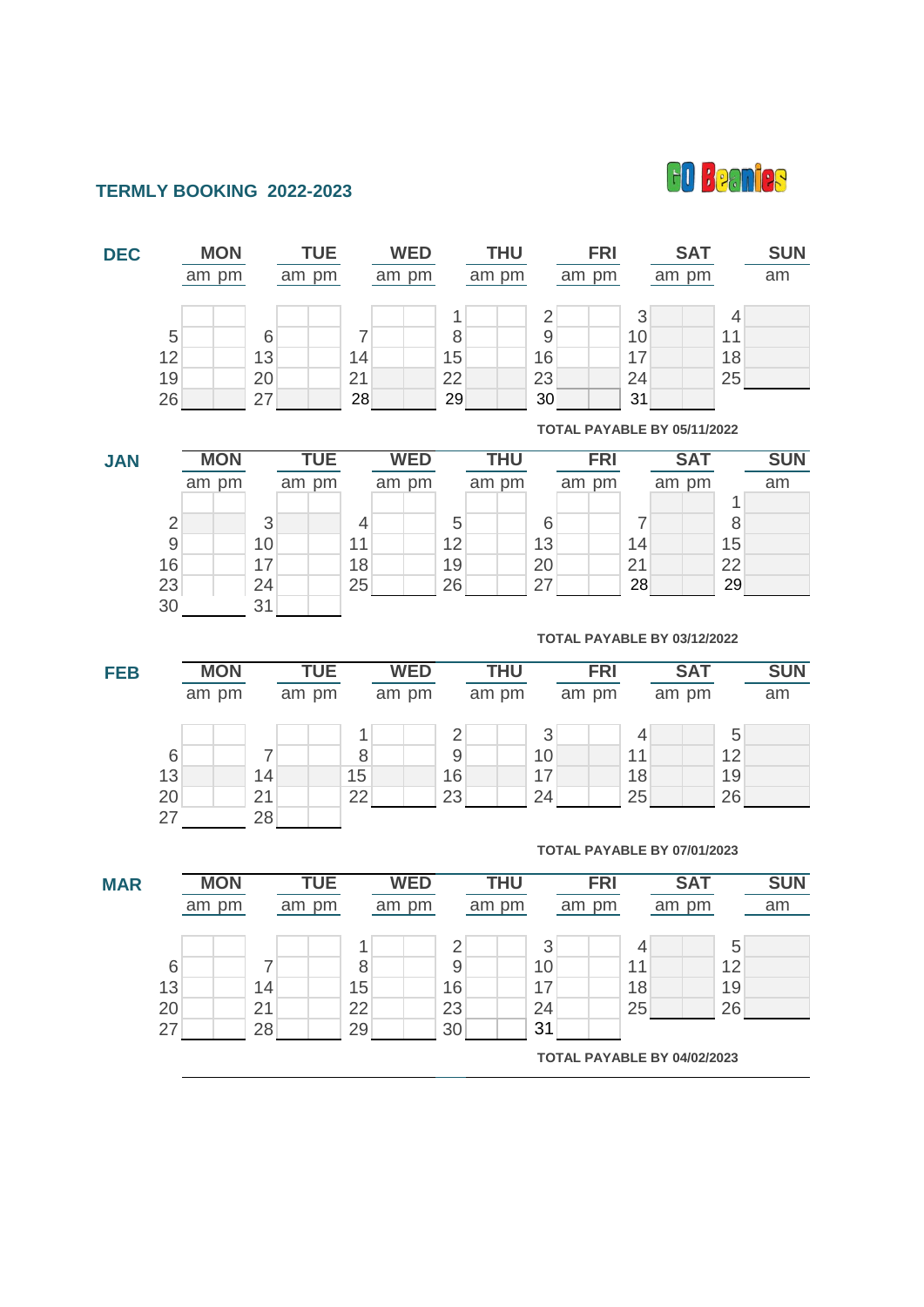

# **TERMLY BOOKING 2022-2023**

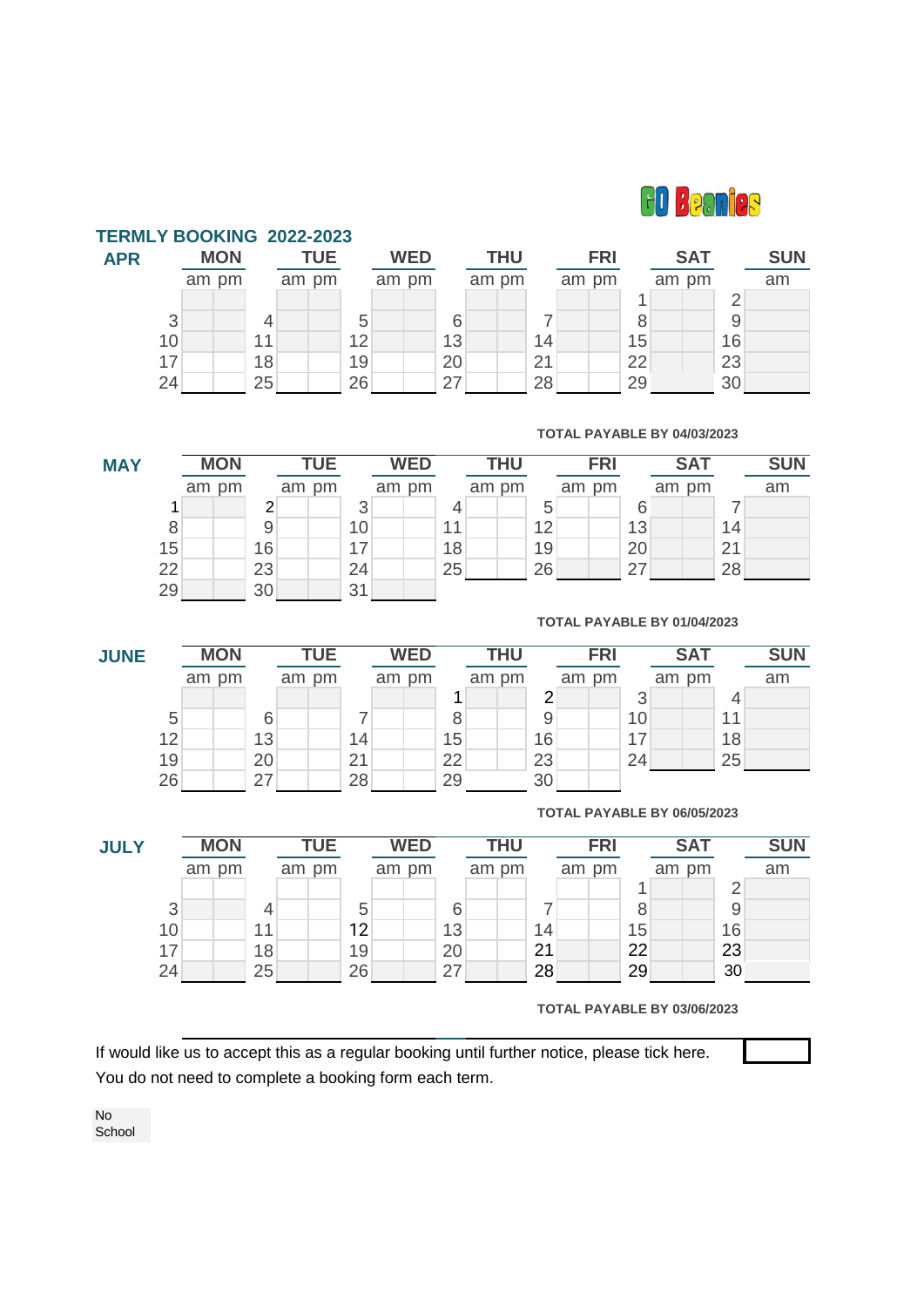

| <b>FERMLY BOOKING 2022-2023</b> |            |    |            |    |            |    |       |            |    |            |    |       |            |    |            |  |
|---------------------------------|------------|----|------------|----|------------|----|-------|------------|----|------------|----|-------|------------|----|------------|--|
| <b>APR</b>                      | <b>MON</b> |    | <b>TUE</b> |    | <b>WED</b> |    |       | <b>THU</b> |    | <b>FRI</b> |    |       | <b>SAT</b> |    | <b>SUN</b> |  |
|                                 | am pm      |    | am pm      |    | am pm      |    | am pm |            |    | am pm      |    | am pm |            |    | am         |  |
|                                 |            |    |            |    |            |    |       |            |    |            |    |       |            | っ  |            |  |
| 3                               |            |    |            | 5  |            | 6  |       |            |    |            | 8  |       |            | 9  |            |  |
| 10                              |            | 11 |            | 12 |            | 13 |       |            | 14 |            | 15 |       |            | 16 |            |  |
| 17                              |            | 18 |            | 19 |            | 20 |       |            | 21 |            | 22 |       |            | 23 |            |  |
| 24                              |            | 25 |            | 26 |            | 27 |       |            | 28 |            | 29 |       |            | 30 |            |  |

## **TOTAL PAYABLE BY 04/03/2023**

**MAY** am pm am pm am pm am pm am pm am pm am 1 2 3 4 5 6 7 8 9 9 10 11 12 12 13 14 15 16 17 18 19 20 21 22 23 24 25 26 27 28 29 30 31 **MON TUE WED THU SUN FRI SAT**

### **TOTAL PAYABLE BY 01/04/2023**

| <b>JUNE</b> |    | <b>MON</b> |    | <b>TUE</b> |    | <b>WED</b> |    |       | <b>THU</b> |    | <b>FRI</b> |    |       | <b>SAT</b> |    | <b>SUN</b> |  |
|-------------|----|------------|----|------------|----|------------|----|-------|------------|----|------------|----|-------|------------|----|------------|--|
|             |    | am pm      |    | am pm      |    | am pm      |    | am pm |            |    | am pm      |    | am pm |            |    | am         |  |
|             |    |            |    |            |    |            |    |       |            | ◠  |            | ◠  |       |            |    |            |  |
|             | 5  |            |    |            |    |            |    |       |            |    |            | 10 |       |            | 11 |            |  |
|             | 12 |            | 13 |            | 14 |            | 15 |       |            | 16 |            | 17 |       |            | 18 |            |  |
|             | 19 |            | 20 |            | 21 |            | 22 |       |            | 23 |            | 24 |       |            | 25 |            |  |
|             | 26 |            | 27 |            | 28 |            | 29 |       |            | 30 |            |    |       |            |    |            |  |

### **TOTAL PAYABLE BY 06/05/2023**

| <b>JULY</b> | <b>MON</b> |       |    | TUE   |  | <b>WED</b> |  |       | <b>THU</b> |       |  | <b>FRI</b> |  |       | <b>SAT</b> |       |  | <b>SUN</b> |    |
|-------------|------------|-------|----|-------|--|------------|--|-------|------------|-------|--|------------|--|-------|------------|-------|--|------------|----|
|             |            | am pm |    | am pm |  |            |  | am pm |            | am pm |  |            |  | am pm |            | am pm |  |            | am |
|             |            |       |    |       |  |            |  |       |            |       |  |            |  |       |            |       |  | r          |    |
| 3           |            |       |    |       |  | 5          |  |       | 6          |       |  |            |  |       |            |       |  | 9          |    |
| 10          |            |       | 11 |       |  | 12         |  |       | 13         |       |  | 14         |  |       | 15         |       |  | 16         |    |
| 17          |            |       | 18 |       |  | 19         |  |       | 20         |       |  | 21         |  |       | 22         |       |  | 23         |    |
| 24          |            |       | 25 |       |  | 26         |  |       | 27         |       |  | 28         |  |       | 29         |       |  | 30         |    |

**TOTAL PAYABLE BY 03/06/2023**

If would like us to accept this as a regular booking until further notice, please tick here. You do not need to complete a booking form each term.

No School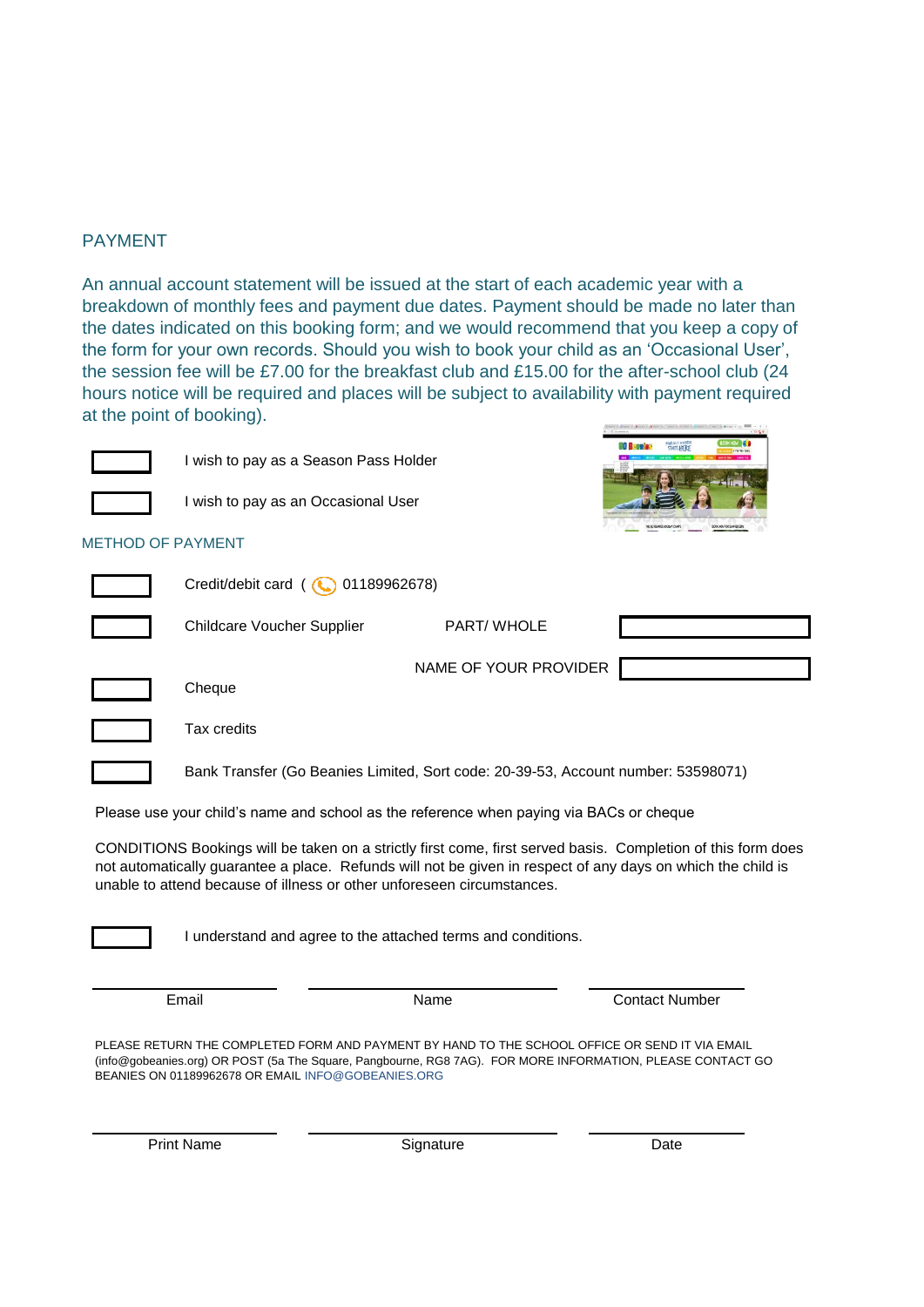# PAYMENT

An annual account statement will be issued at the start of each academic year with a breakdown of monthly fees and payment due dates. Payment should be made no later than the dates indicated on this booking form; and we would recommend that you keep a copy of the form for your own records. Should you wish to book your child as an 'Occasional User', the session fee will be £7.00 for the breakfast club and £15.00 for the after-school club (24 hours notice will be required and places will be subject to availability with payment required at the point of booking).



I wish to pay as a Season Pass Holder



I wish to pay as an Occasional User



# METHOD OF PAYMENT

| Credit/debit card ( 01189962678)  |                       |  |  |  |  |  |  |  |  |  |
|-----------------------------------|-----------------------|--|--|--|--|--|--|--|--|--|
| <b>Childcare Voucher Supplier</b> | PART/WHOLE            |  |  |  |  |  |  |  |  |  |
| Cheque                            | NAME OF YOUR PROVIDER |  |  |  |  |  |  |  |  |  |



Tax credits

Bank Transfer (Go Beanies Limited, Sort code: 20-39-53, Account number: 53598071)

Please use your child's name and school as the reference when paying via BACs or cheque

CONDITIONS Bookings will be taken on a strictly first come, first served basis. Completion of this form does not automatically guarantee a place. Refunds will not be given in respect of any days on which the child is unable to attend because of illness or other unforeseen circumstances.



I understand and agree to the attached terms and conditions.

Email **Email** Contact Number Contact Number

PLEASE RETURN THE COMPLETED FORM AND PAYMENT BY HAND TO THE SCHOOL OFFICE OR SEND IT VIA EMAIL (info@gobeanies.org) OR POST (5a The Square, Pangbourne, RG8 7AG). FOR MORE INFORMATION, PLEASE CONTACT GO BEANIES ON 01189962678 OR EMAIL INFO@GOBEANIES.ORG

Print Name Date Signature Signature Date